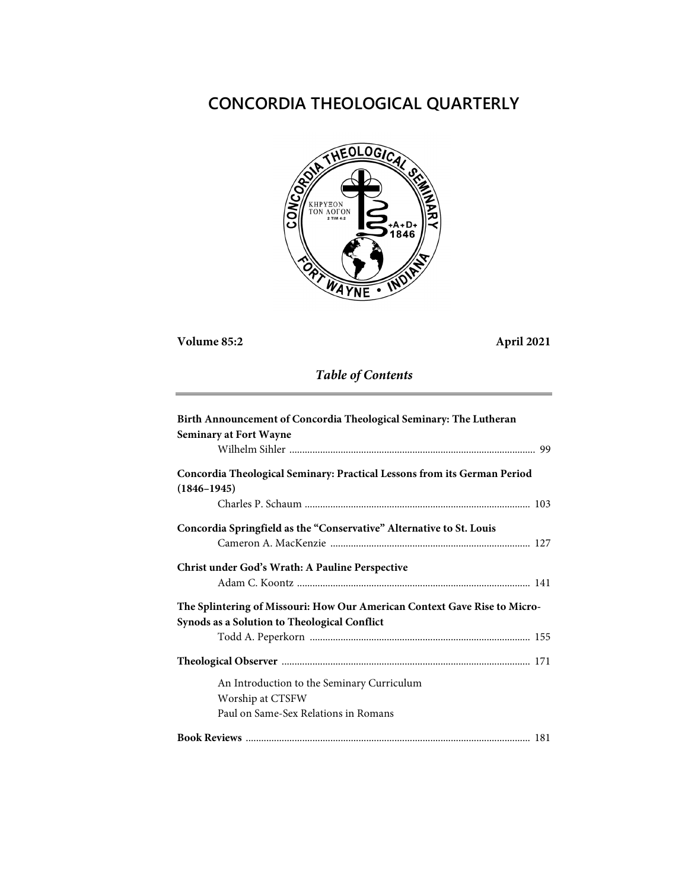# **CONCORDIA THEOLOGICAL QUARTERLY**



## **Volume 85:2 April 2021**

## *Table of Contents*

| Birth Announcement of Concordia Theological Seminary: The Lutheran        |
|---------------------------------------------------------------------------|
| <b>Seminary at Fort Wayne</b>                                             |
|                                                                           |
| Concordia Theological Seminary: Practical Lessons from its German Period  |
| $(1846 - 1945)$                                                           |
|                                                                           |
| Concordia Springfield as the "Conservative" Alternative to St. Louis      |
|                                                                           |
| Christ under God's Wrath: A Pauline Perspective                           |
|                                                                           |
| The Splintering of Missouri: How Our American Context Gave Rise to Micro- |
| Synods as a Solution to Theological Conflict                              |
|                                                                           |
|                                                                           |
| An Introduction to the Seminary Curriculum                                |
| Worship at CTSFW                                                          |
| Paul on Same-Sex Relations in Romans                                      |
|                                                                           |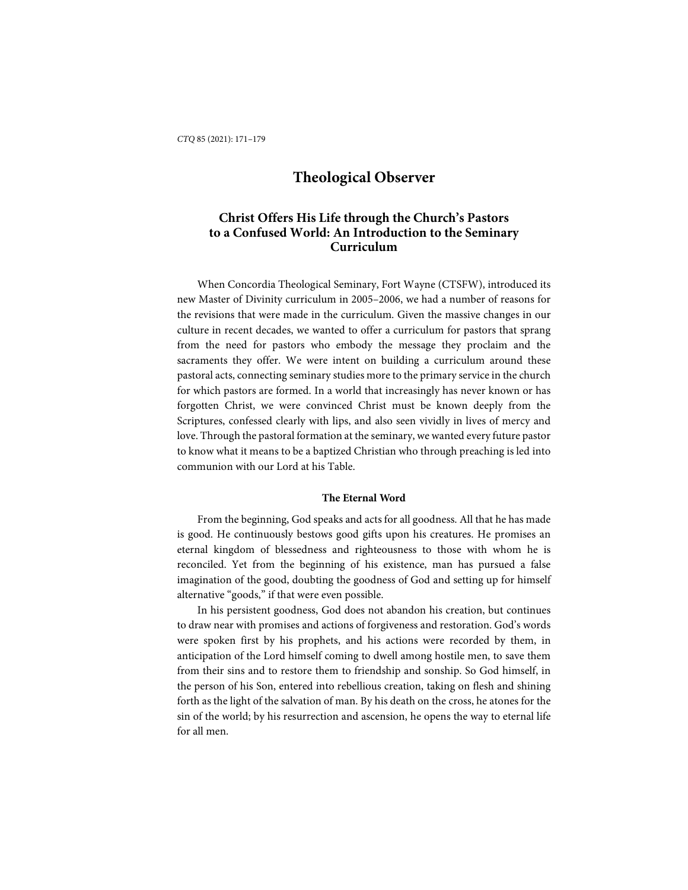## **Christ Offers His Life through the Church's Pastors to a Confused World: An Introduction to the Seminary Curriculum**

When Concordia Theological Seminary, Fort Wayne (CTSFW), introduced its new Master of Divinity curriculum in 2005–2006, we had a number of reasons for the revisions that were made in the curriculum. Given the massive changes in our culture in recent decades, we wanted to offer a curriculum for pastors that sprang from the need for pastors who embody the message they proclaim and the sacraments they offer. We were intent on building a curriculum around these pastoral acts, connecting seminary studies more to the primary service in the church for which pastors are formed. In a world that increasingly has never known or has forgotten Christ, we were convinced Christ must be known deeply from the Scriptures, confessed clearly with lips, and also seen vividly in lives of mercy and love. Through the pastoral formation at the seminary, we wanted every future pastor to know what it means to be a baptized Christian who through preaching is led into communion with our Lord at his Table.

#### **The Eternal Word**

From the beginning, God speaks and acts for all goodness. All that he has made is good. He continuously bestows good gifts upon his creatures. He promises an eternal kingdom of blessedness and righteousness to those with whom he is reconciled. Yet from the beginning of his existence, man has pursued a false imagination of the good, doubting the goodness of God and setting up for himself alternative "goods," if that were even possible.

In his persistent goodness, God does not abandon his creation, but continues to draw near with promises and actions of forgiveness and restoration. God's words were spoken first by his prophets, and his actions were recorded by them, in anticipation of the Lord himself coming to dwell among hostile men, to save them from their sins and to restore them to friendship and sonship. So God himself, in the person of his Son, entered into rebellious creation, taking on flesh and shining forth as the light of the salvation of man. By his death on the cross, he atones for the sin of the world; by his resurrection and ascension, he opens the way to eternal life for all men.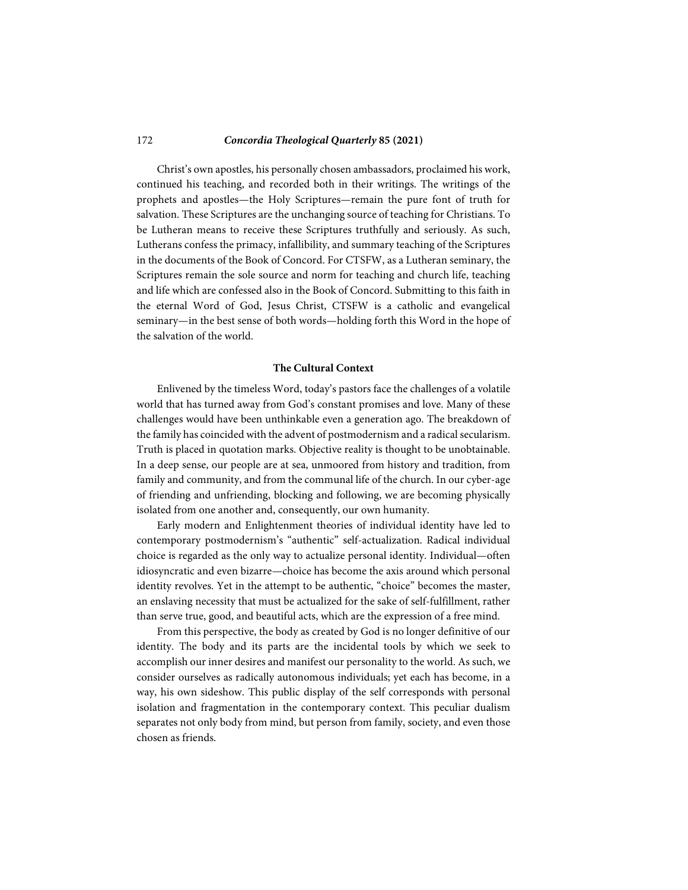Christ's own apostles, his personally chosen ambassadors, proclaimed his work, continued his teaching, and recorded both in their writings. The writings of the prophets and apostles—the Holy Scriptures—remain the pure font of truth for salvation. These Scriptures are the unchanging source of teaching for Christians. To be Lutheran means to receive these Scriptures truthfully and seriously. As such, Lutherans confess the primacy, infallibility, and summary teaching of the Scriptures in the documents of the Book of Concord. For CTSFW, as a Lutheran seminary, the Scriptures remain the sole source and norm for teaching and church life, teaching and life which are confessed also in the Book of Concord. Submitting to this faith in the eternal Word of God, Jesus Christ, CTSFW is a catholic and evangelical seminary—in the best sense of both words—holding forth this Word in the hope of the salvation of the world.

#### **The Cultural Context**

Enlivened by the timeless Word, today's pastors face the challenges of a volatile world that has turned away from God's constant promises and love. Many of these challenges would have been unthinkable even a generation ago. The breakdown of the family has coincided with the advent of postmodernism and a radical secularism. Truth is placed in quotation marks. Objective reality is thought to be unobtainable. In a deep sense, our people are at sea, unmoored from history and tradition, from family and community, and from the communal life of the church. In our cyber-age of friending and unfriending, blocking and following, we are becoming physically isolated from one another and, consequently, our own humanity.

Early modern and Enlightenment theories of individual identity have led to contemporary postmodernism's "authentic" self-actualization. Radical individual choice is regarded as the only way to actualize personal identity. Individual—often idiosyncratic and even bizarre—choice has become the axis around which personal identity revolves. Yet in the attempt to be authentic, "choice" becomes the master, an enslaving necessity that must be actualized for the sake of self-fulfillment, rather than serve true, good, and beautiful acts, which are the expression of a free mind.

From this perspective, the body as created by God is no longer definitive of our identity. The body and its parts are the incidental tools by which we seek to accomplish our inner desires and manifest our personality to the world. As such, we consider ourselves as radically autonomous individuals; yet each has become, in a way, his own sideshow. This public display of the self corresponds with personal isolation and fragmentation in the contemporary context. This peculiar dualism separates not only body from mind, but person from family, society, and even those chosen as friends.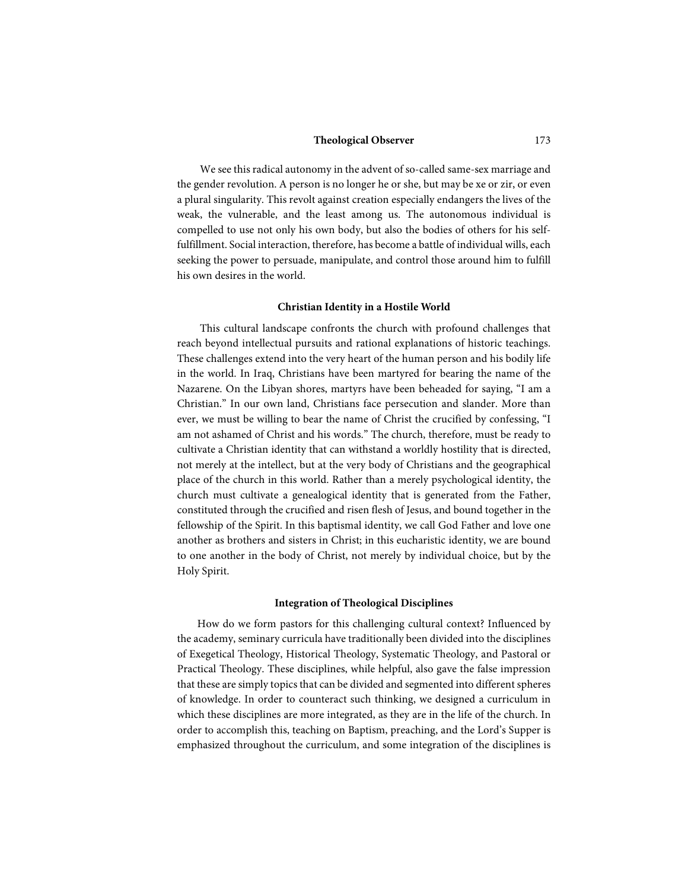We see this radical autonomy in the advent of so-called same-sex marriage and the gender revolution. A person is no longer he or she, but may be xe or zir, or even a plural singularity. This revolt against creation especially endangers the lives of the weak, the vulnerable, and the least among us. The autonomous individual is compelled to use not only his own body, but also the bodies of others for his selffulfillment. Social interaction, therefore, has become a battle of individual wills, each seeking the power to persuade, manipulate, and control those around him to fulfill his own desires in the world.

#### **Christian Identity in a Hostile World**

This cultural landscape confronts the church with profound challenges that reach beyond intellectual pursuits and rational explanations of historic teachings. These challenges extend into the very heart of the human person and his bodily life in the world. In Iraq, Christians have been martyred for bearing the name of the Nazarene. On the Libyan shores, martyrs have been beheaded for saying, "I am a Christian." In our own land, Christians face persecution and slander. More than ever, we must be willing to bear the name of Christ the crucified by confessing, "I am not ashamed of Christ and his words." The church, therefore, must be ready to cultivate a Christian identity that can withstand a worldly hostility that is directed, not merely at the intellect, but at the very body of Christians and the geographical place of the church in this world. Rather than a merely psychological identity, the church must cultivate a genealogical identity that is generated from the Father, constituted through the crucified and risen flesh of Jesus, and bound together in the fellowship of the Spirit. In this baptismal identity, we call God Father and love one another as brothers and sisters in Christ; in this eucharistic identity, we are bound to one another in the body of Christ, not merely by individual choice, but by the Holy Spirit.

#### **Integration of Theological Disciplines**

How do we form pastors for this challenging cultural context? Influenced by the academy, seminary curricula have traditionally been divided into the disciplines of Exegetical Theology, Historical Theology, Systematic Theology, and Pastoral or Practical Theology. These disciplines, while helpful, also gave the false impression that these are simply topics that can be divided and segmented into different spheres of knowledge. In order to counteract such thinking, we designed a curriculum in which these disciplines are more integrated, as they are in the life of the church. In order to accomplish this, teaching on Baptism, preaching, and the Lord's Supper is emphasized throughout the curriculum, and some integration of the disciplines is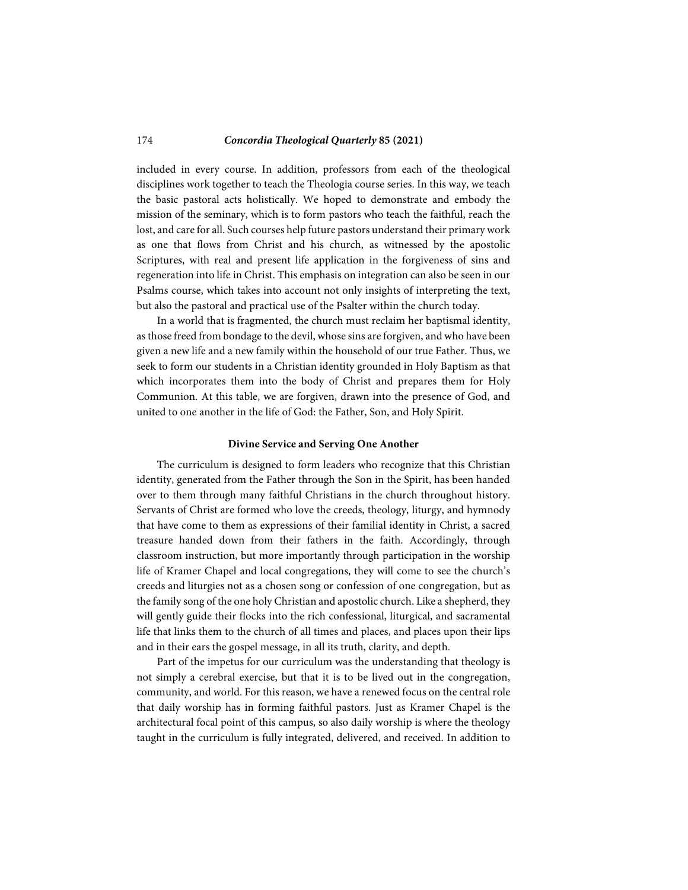included in every course. In addition, professors from each of the theological disciplines work together to teach the Theologia course series. In this way, we teach the basic pastoral acts holistically. We hoped to demonstrate and embody the mission of the seminary, which is to form pastors who teach the faithful, reach the lost, and care for all. Such courses help future pastors understand their primary work as one that flows from Christ and his church, as witnessed by the apostolic Scriptures, with real and present life application in the forgiveness of sins and regeneration into life in Christ. This emphasis on integration can also be seen in our Psalms course, which takes into account not only insights of interpreting the text, but also the pastoral and practical use of the Psalter within the church today.

In a world that is fragmented, the church must reclaim her baptismal identity, as those freed from bondage to the devil, whose sins are forgiven, and who have been given a new life and a new family within the household of our true Father. Thus, we seek to form our students in a Christian identity grounded in Holy Baptism as that which incorporates them into the body of Christ and prepares them for Holy Communion. At this table, we are forgiven, drawn into the presence of God, and united to one another in the life of God: the Father, Son, and Holy Spirit.

#### **Divine Service and Serving One Another**

The curriculum is designed to form leaders who recognize that this Christian identity, generated from the Father through the Son in the Spirit, has been handed over to them through many faithful Christians in the church throughout history. Servants of Christ are formed who love the creeds, theology, liturgy, and hymnody that have come to them as expressions of their familial identity in Christ, a sacred treasure handed down from their fathers in the faith. Accordingly, through classroom instruction, but more importantly through participation in the worship life of Kramer Chapel and local congregations, they will come to see the church's creeds and liturgies not as a chosen song or confession of one congregation, but as the family song of the one holy Christian and apostolic church. Like a shepherd, they will gently guide their flocks into the rich confessional, liturgical, and sacramental life that links them to the church of all times and places, and places upon their lips and in their ears the gospel message, in all its truth, clarity, and depth.

Part of the impetus for our curriculum was the understanding that theology is not simply a cerebral exercise, but that it is to be lived out in the congregation, community, and world. For this reason, we have a renewed focus on the central role that daily worship has in forming faithful pastors. Just as Kramer Chapel is the architectural focal point of this campus, so also daily worship is where the theology taught in the curriculum is fully integrated, delivered, and received. In addition to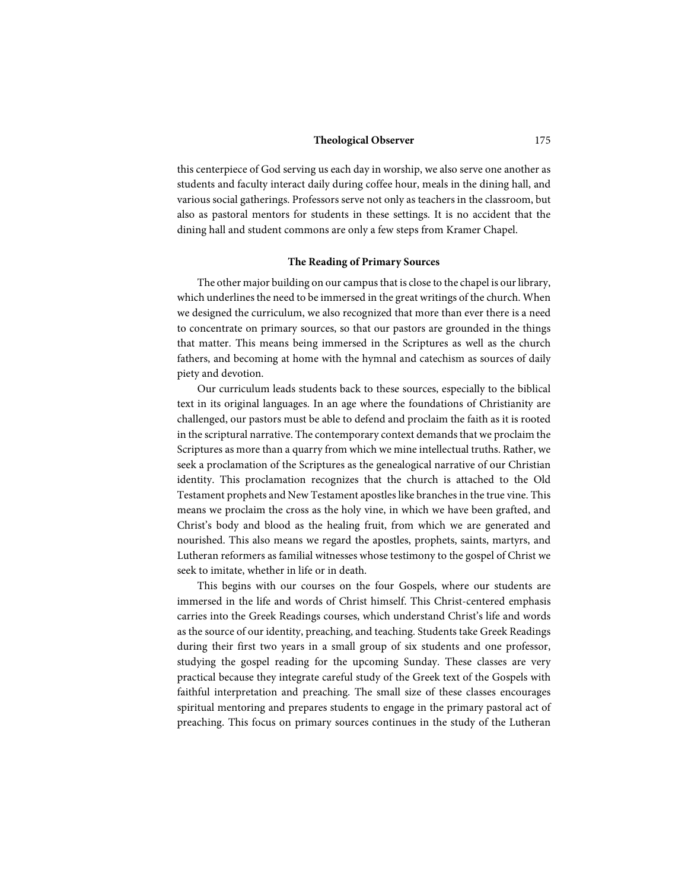this centerpiece of God serving us each day in worship, we also serve one another as students and faculty interact daily during coffee hour, meals in the dining hall, and various social gatherings. Professors serve not only as teachers in the classroom, but also as pastoral mentors for students in these settings. It is no accident that the dining hall and student commons are only a few steps from Kramer Chapel.

#### **The Reading of Primary Sources**

The other major building on our campus that is close to the chapel is our library, which underlines the need to be immersed in the great writings of the church. When we designed the curriculum, we also recognized that more than ever there is a need to concentrate on primary sources, so that our pastors are grounded in the things that matter. This means being immersed in the Scriptures as well as the church fathers, and becoming at home with the hymnal and catechism as sources of daily piety and devotion.

Our curriculum leads students back to these sources, especially to the biblical text in its original languages. In an age where the foundations of Christianity are challenged, our pastors must be able to defend and proclaim the faith as it is rooted in the scriptural narrative. The contemporary context demands that we proclaim the Scriptures as more than a quarry from which we mine intellectual truths. Rather, we seek a proclamation of the Scriptures as the genealogical narrative of our Christian identity. This proclamation recognizes that the church is attached to the Old Testament prophets and New Testament apostles like branches in the true vine. This means we proclaim the cross as the holy vine, in which we have been grafted, and Christ's body and blood as the healing fruit, from which we are generated and nourished. This also means we regard the apostles, prophets, saints, martyrs, and Lutheran reformers as familial witnesses whose testimony to the gospel of Christ we seek to imitate, whether in life or in death.

This begins with our courses on the four Gospels, where our students are immersed in the life and words of Christ himself. This Christ-centered emphasis carries into the Greek Readings courses, which understand Christ's life and words as the source of our identity, preaching, and teaching. Students take Greek Readings during their first two years in a small group of six students and one professor, studying the gospel reading for the upcoming Sunday. These classes are very practical because they integrate careful study of the Greek text of the Gospels with faithful interpretation and preaching. The small size of these classes encourages spiritual mentoring and prepares students to engage in the primary pastoral act of preaching. This focus on primary sources continues in the study of the Lutheran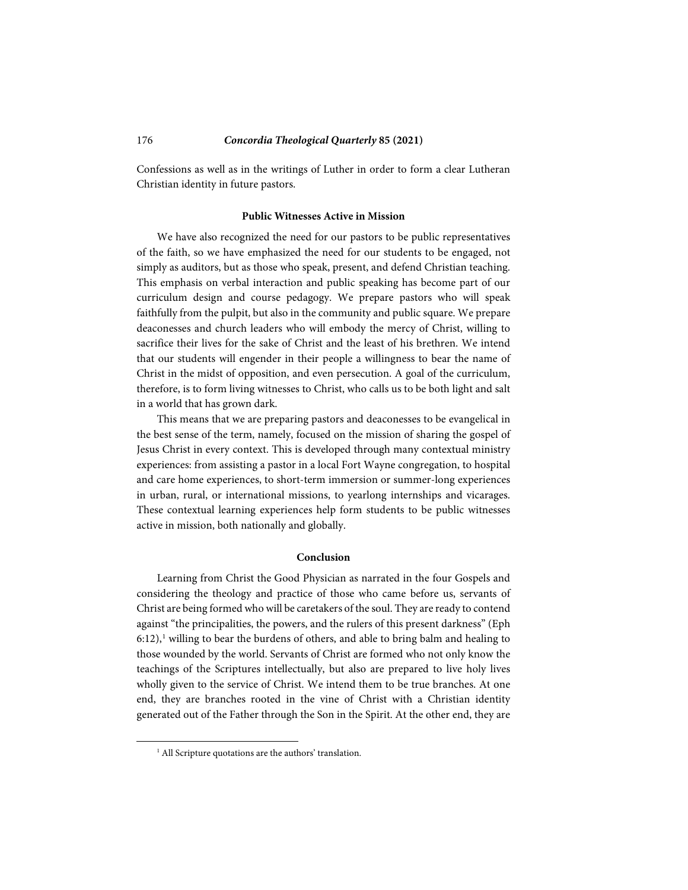Confessions as well as in the writings of Luther in order to form a clear Lutheran Christian identity in future pastors.

#### **Public Witnesses Active in Mission**

We have also recognized the need for our pastors to be public representatives of the faith, so we have emphasized the need for our students to be engaged, not simply as auditors, but as those who speak, present, and defend Christian teaching. This emphasis on verbal interaction and public speaking has become part of our curriculum design and course pedagogy. We prepare pastors who will speak faithfully from the pulpit, but also in the community and public square. We prepare deaconesses and church leaders who will embody the mercy of Christ, willing to sacrifice their lives for the sake of Christ and the least of his brethren. We intend that our students will engender in their people a willingness to bear the name of Christ in the midst of opposition, and even persecution. A goal of the curriculum, therefore, is to form living witnesses to Christ, who calls us to be both light and salt in a world that has grown dark.

This means that we are preparing pastors and deaconesses to be evangelical in the best sense of the term, namely, focused on the mission of sharing the gospel of Jesus Christ in every context. This is developed through many contextual ministry experiences: from assisting a pastor in a local Fort Wayne congregation, to hospital and care home experiences, to short-term immersion or summer-long experiences in urban, rural, or international missions, to yearlong internships and vicarages. These contextual learning experiences help form students to be public witnesses active in mission, both nationally and globally.

#### **Conclusion**

Learning from Christ the Good Physician as narrated in the four Gospels and considering the theology and practice of those who came before us, servants of Christ are being formed who will be caretakers of the soul. They are ready to contend against "the principalities, the powers, and the rulers of this present darkness" (Eph  $6:12$  $6:12$  $6:12$ ),<sup>1</sup> willing to bear the burdens of others, and able to bring balm and healing to those wounded by the world. Servants of Christ are formed who not only know the teachings of the Scriptures intellectually, but also are prepared to live holy lives wholly given to the service of Christ. We intend them to be true branches. At one end, they are branches rooted in the vine of Christ with a Christian identity generated out of the Father through the Son in the Spirit. At the other end, they are

<span id="page-6-0"></span>-

<sup>&</sup>lt;sup>1</sup> All Scripture quotations are the authors' translation.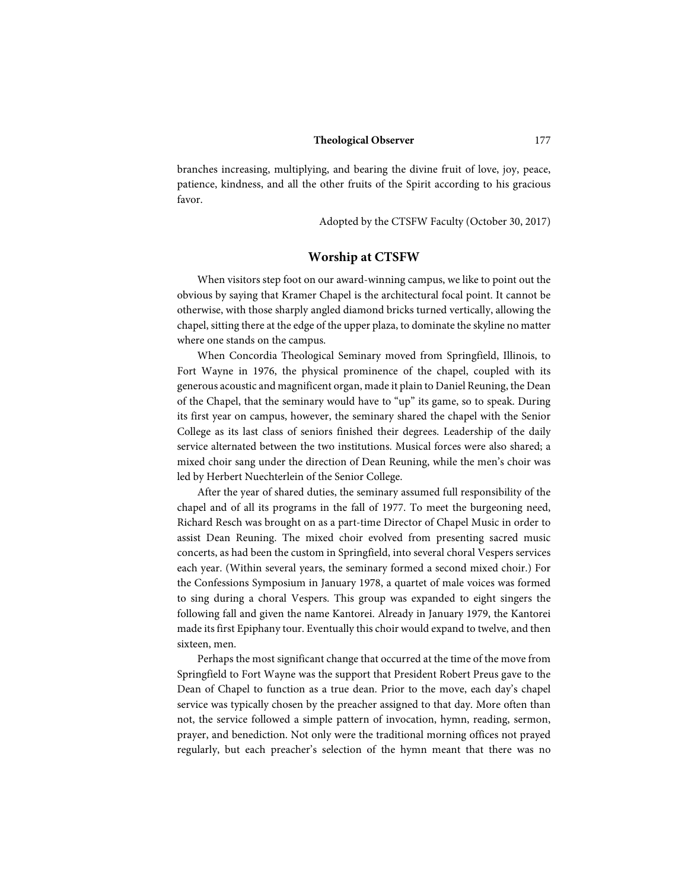branches increasing, multiplying, and bearing the divine fruit of love, joy, peace, patience, kindness, and all the other fruits of the Spirit according to his gracious favor.

Adopted by the CTSFW Faculty (October 30, 2017)

### **Worship at CTSFW**

When visitors step foot on our award-winning campus, we like to point out the obvious by saying that Kramer Chapel is the architectural focal point. It cannot be otherwise, with those sharply angled diamond bricks turned vertically, allowing the chapel, sitting there at the edge of the upper plaza, to dominate the skyline no matter where one stands on the campus.

When Concordia Theological Seminary moved from Springfield, Illinois, to Fort Wayne in 1976, the physical prominence of the chapel, coupled with its generous acoustic and magnificent organ, made it plain to Daniel Reuning, the Dean of the Chapel, that the seminary would have to "up" its game, so to speak. During its first year on campus, however, the seminary shared the chapel with the Senior College as its last class of seniors finished their degrees. Leadership of the daily service alternated between the two institutions. Musical forces were also shared; a mixed choir sang under the direction of Dean Reuning, while the men's choir was led by Herbert Nuechterlein of the Senior College.

After the year of shared duties, the seminary assumed full responsibility of the chapel and of all its programs in the fall of 1977. To meet the burgeoning need, Richard Resch was brought on as a part-time Director of Chapel Music in order to assist Dean Reuning. The mixed choir evolved from presenting sacred music concerts, as had been the custom in Springfield, into several choral Vespers services each year. (Within several years, the seminary formed a second mixed choir.) For the Confessions Symposium in January 1978, a quartet of male voices was formed to sing during a choral Vespers. This group was expanded to eight singers the following fall and given the name Kantorei. Already in January 1979, the Kantorei made its first Epiphany tour. Eventually this choir would expand to twelve, and then sixteen, men.

Perhaps the most significant change that occurred at the time of the move from Springfield to Fort Wayne was the support that President Robert Preus gave to the Dean of Chapel to function as a true dean. Prior to the move, each day's chapel service was typically chosen by the preacher assigned to that day. More often than not, the service followed a simple pattern of invocation, hymn, reading, sermon, prayer, and benediction. Not only were the traditional morning offices not prayed regularly, but each preacher's selection of the hymn meant that there was no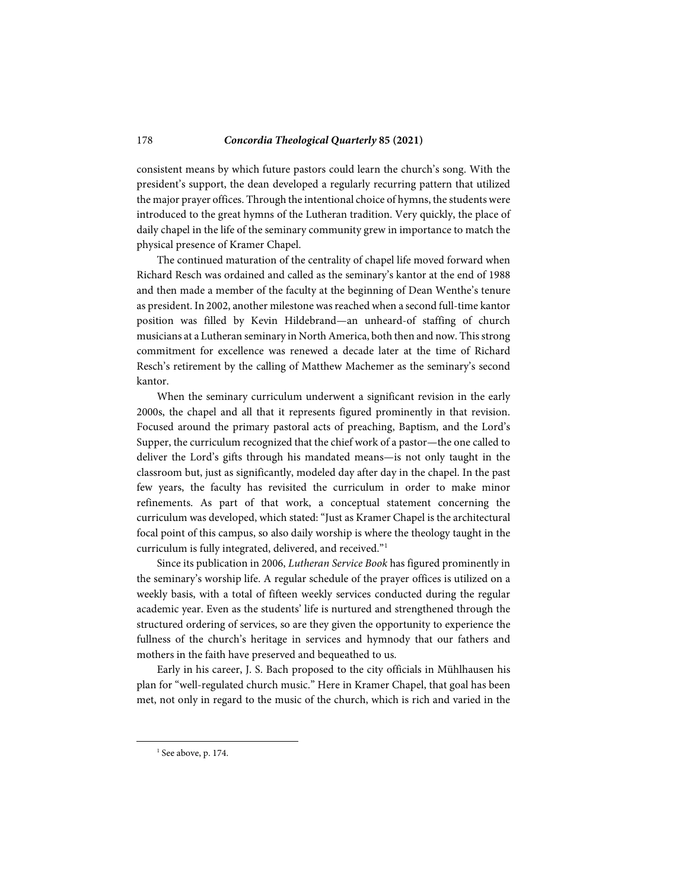consistent means by which future pastors could learn the church's song. With the president's support, the dean developed a regularly recurring pattern that utilized the major prayer offices. Through the intentional choice of hymns, the students were introduced to the great hymns of the Lutheran tradition. Very quickly, the place of daily chapel in the life of the seminary community grew in importance to match the physical presence of Kramer Chapel.

The continued maturation of the centrality of chapel life moved forward when Richard Resch was ordained and called as the seminary's kantor at the end of 1988 and then made a member of the faculty at the beginning of Dean Wenthe's tenure as president. In 2002, another milestone was reached when a second full-time kantor position was filled by Kevin Hildebrand—an unheard-of staffing of church musicians at a Lutheran seminary in North America, both then and now. This strong commitment for excellence was renewed a decade later at the time of Richard Resch's retirement by the calling of Matthew Machemer as the seminary's second kantor.

When the seminary curriculum underwent a significant revision in the early 2000s, the chapel and all that it represents figured prominently in that revision. Focused around the primary pastoral acts of preaching, Baptism, and the Lord's Supper, the curriculum recognized that the chief work of a pastor—the one called to deliver the Lord's gifts through his mandated means—is not only taught in the classroom but, just as significantly, modeled day after day in the chapel. In the past few years, the faculty has revisited the curriculum in order to make minor refinements. As part of that work, a conceptual statement concerning the curriculum was developed, which stated: "Just as Kramer Chapel is the architectural focal point of this campus, so also daily worship is where the theology taught in the curriculum is fully integrated, delivered, and received."[1](#page-8-0)

Since its publication in 2006, *Lutheran Service Book* has figured prominently in the seminary's worship life. A regular schedule of the prayer offices is utilized on a weekly basis, with a total of fifteen weekly services conducted during the regular academic year. Even as the students' life is nurtured and strengthened through the structured ordering of services, so are they given the opportunity to experience the fullness of the church's heritage in services and hymnody that our fathers and mothers in the faith have preserved and bequeathed to us.

Early in his career, J. S. Bach proposed to the city officials in Mühlhausen his plan for "well-regulated church music." Here in Kramer Chapel, that goal has been met, not only in regard to the music of the church, which is rich and varied in the

<span id="page-8-0"></span>-

 $1$  See above, p. 174.